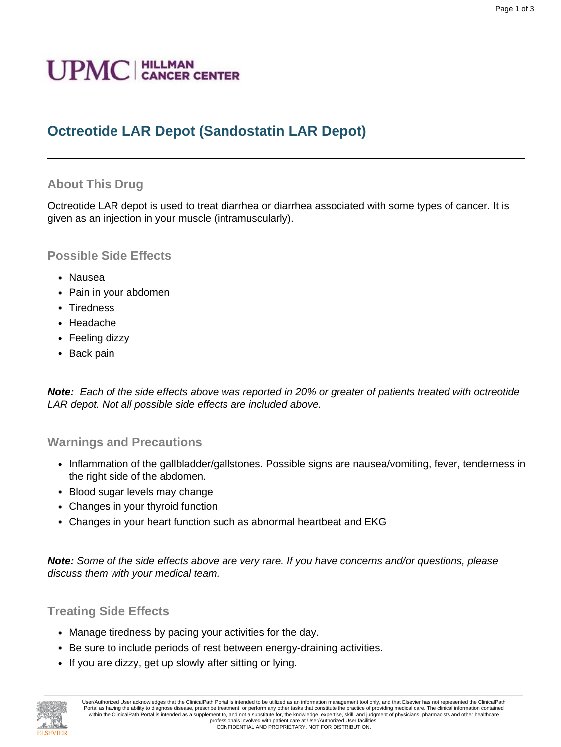# **Octreotide LAR Depot (Sandostatin LAR Depot)**

# **About This Drug**

Octreotide LAR depot is used to treat diarrhea or diarrhea associated with some types of cancer. It is given as an injection in your muscle (intramuscularly).

## **Possible Side Effects**

- Nausea
- Pain in your abdomen
- Tiredness
- Headache
- Feeling dizzy
- Back pain

**Note:** Each of the side effects above was reported in 20% or greater of patients treated with octreotide LAR depot. Not all possible side effects are included above.

#### **Warnings and Precautions**

- Inflammation of the gallbladder/gallstones. Possible signs are nausea/vomiting, fever, tenderness in the right side of the abdomen.
- Blood sugar levels may change
- Changes in your thyroid function
- Changes in your heart function such as abnormal heartbeat and EKG

**Note:** Some of the side effects above are very rare. If you have concerns and/or questions, please discuss them with your medical team.

## **Treating Side Effects**

- Manage tiredness by pacing your activities for the day.
- Be sure to include periods of rest between energy-draining activities.
- If you are dizzy, get up slowly after sitting or lying.

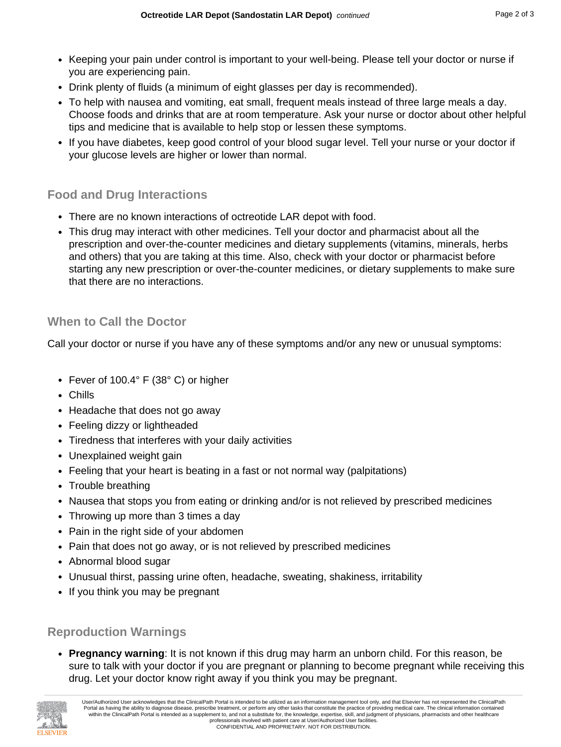- Keeping your pain under control is important to your well-being. Please tell your doctor or nurse if you are experiencing pain.
- Drink plenty of fluids (a minimum of eight glasses per day is recommended).
- To help with nausea and vomiting, eat small, frequent meals instead of three large meals a day. Choose foods and drinks that are at room temperature. Ask your nurse or doctor about other helpful tips and medicine that is available to help stop or lessen these symptoms.
- If you have diabetes, keep good control of your blood sugar level. Tell your nurse or your doctor if your glucose levels are higher or lower than normal.

## **Food and Drug Interactions**

- There are no known interactions of octreotide LAR depot with food.
- This drug may interact with other medicines. Tell your doctor and pharmacist about all the prescription and over-the-counter medicines and dietary supplements (vitamins, minerals, herbs and others) that you are taking at this time. Also, check with your doctor or pharmacist before starting any new prescription or over-the-counter medicines, or dietary supplements to make sure that there are no interactions.

#### **When to Call the Doctor**

Call your doctor or nurse if you have any of these symptoms and/or any new or unusual symptoms:

- Fever of 100.4° F (38° C) or higher
- Chills
- Headache that does not go away
- Feeling dizzy or lightheaded
- Tiredness that interferes with your daily activities
- Unexplained weight gain
- Feeling that your heart is beating in a fast or not normal way (palpitations)
- Trouble breathing
- Nausea that stops you from eating or drinking and/or is not relieved by prescribed medicines
- Throwing up more than 3 times a day
- Pain in the right side of your abdomen
- Pain that does not go away, or is not relieved by prescribed medicines
- Abnormal blood sugar
- Unusual thirst, passing urine often, headache, sweating, shakiness, irritability
- If you think you may be pregnant

## **Reproduction Warnings**

• **Pregnancy warning**: It is not known if this drug may harm an unborn child. For this reason, be sure to talk with your doctor if you are pregnant or planning to become pregnant while receiving this drug. Let your doctor know right away if you think you may be pregnant.